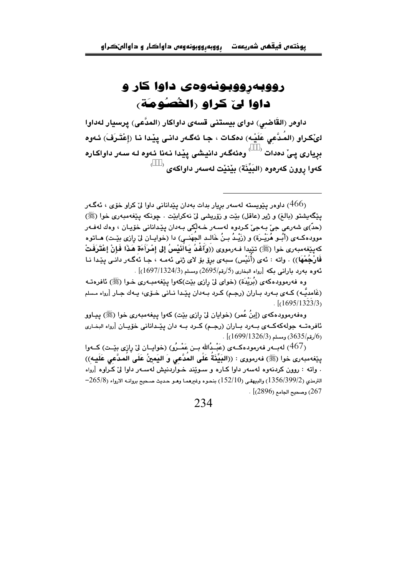## رووبهرووبونهوهي داوا کار و داوا ليّ كراو رالخُصُومَة)

داوەر (القَاضىي) دواي بيستنى قسەي داواكار (المدّعى) يرسيار لەداوا لئِكراو (المُدَّعى عَلَيْـه) دەكـات ، جـا ئەگـەر دانـى يێـدا نـا (إعْتَـرَفَ) ئـەوە بریاری یے٘ دہدات <sup>())))</sup> وہئەگەر دانیشی ییّدا نـهنا ئـهوه لـه سـهر داواكـاره كەوا روون كەرەوە (البِيِّنَة) بِيْنيْت لەسەر داواكەي <sup>())))</sup>

وه فەرموودەكەي (بُرَيْدَة) (خواي لِيّ رازي بِيّت)كەوا يېێغەمبەرى خـوا (ﷺ) ئافرەتـﻪ (غَامديَّـه) كــهي بــهرد بــاران (رجــم) كـرد بــهدان يێـدا نــاني خــوّي، يــهك جـار [رواه مـسلم  $\frac{1}{(1695/1323/3)}$ 

وهفهرموودهکهي (إبنُ عُمر) (خوايان ليٌ رازي بيّت) کهوا پيغهمبهري خوا (ﷺ) پيـاوو ئافرەتــه جولەكەكــەي بــەرد بــاران (رجـم) كــرد بــه دان يێـدانانى خۆيــان [رواه البخـارى  $(1699/1326/3)$ رقم/3635) ومسلم (1326/3)

(467) لهبــهر فهرمودهكــهي (عَبْــدُالله بــن عَمْــرُو) (خوايــان ليّ رازي بێـت) كــهوا ينِغهمبهري خوا (ﷺ) فهرمووي : ((البَيِّذَةُ عَلَى المُدَّعى وَ اليَمينُ عَلَى الُمدَّعى عَلَيه)) . واته : روون كردنهوه لهسهر داوا كـاره و سـويِّند خـواردنيش لهسـهر داوا ليّ كـراوه [رواه  $-265/8$ الترمذي (1356/399/2) والبيهقي (152/10) بنحوه وغيرهمـا وهـو حـديث صـحيح بروانـه الارواء (265/8 .  $[2896)$  وصحيح الحامع (2896).

داوەر يێويستە لەسەر بريار بدات بەدان يێدانانى داوا لێ کراو خۆی ، ئەگ<code>466</code> داوەر يێويستە لەسەر بريار ب يێِگهيشتو (بالغ) و ژير (عاقل) بێت و زۆريشي ليّ نهكرابێت . چونكه يێغهمبەرى خوا (ﷺ) (حدّ)ي شەرعى جيّ بـﻪجيّ كـﺮﺩﻭﻩ ﻟﻪﺳـﻪﺭ ﺧـﻪﻟّﻜﻲ ﺑـﻪﺩﺍﻥ يێداناني خۆيـان ، ﻭﻩﻙ ﻟﻪﻓـﻪﺭ موودهكـهى (أُبُــو هُرَيْــرَة) و (زَيْــدُ بــنُ خَالــد الجَهَنــى) دا (خوايــان ليّ رازى بيّــت) هــاتوه كەيێغەمبەرى خوا (ﷺ) تێيدا فـﻪرمووى ((وَآَغْدُ يَـاأَنَيْسُ إلى إِمْرَأَءَة هَذَا فَإِنْ إِعْتَرِفَتْ فَارْجُمْهَا)) . واته : ئەي (أَنَيْس) سبەي برۆ بۆ لاي ژنى ئەمـە ، جـا ئەگـەر دانـى پێـدا نـا ئەوە بەرد بارانى بكە [رواه البخارى (5/رقم/2695) ومسلم (1697/1324/3)] .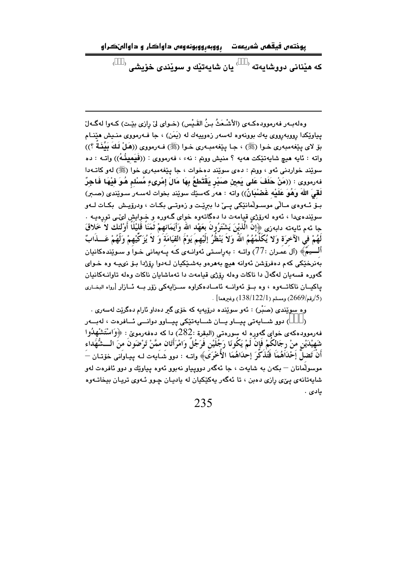رووبهرووبونهوهم داواکار و داوالىٽکراو يوختەں فيقھى شەريعەت

که هێنانی دووشایهته <sup>()))،</sup> بان شایهتنّك و سوئندی خوّیشی (<sup>)))،</sup>

وهلهبـهر فهرموودهكـهـي (الأشْـعَثُ بـنُ القَـبْس) (خـواي ليّ رازي بيّـت) كـهوا لهگـهلّ يياوێِکدا رووبهرووي يهك بوونهوه لهسهر زهوييهك له (يَمَن) ، جا فـهرمووي منـيش هێنـام بِوْ لاي ينفهمبهري خـوا (ﷺ) ، جـا ينفهمبـهري خـوا (ﷺ) فـهرمووي ((هَـلْ لَـكَ بَيِّنَـنَةٌ ؟)) واته : ئايه هيچ شايەتێِكت هەيە ؟ منيش ووتم : نەء ، فەرمووى : ((فَيَمِينُـهُ)) واتــه : دە سويند خواردني ئهو ، ووبتم : دەي سويند دەخوات ، جا پيغهمبەرى خوا (ﷺ) لەو كاتـﻪدا فهرمووى : ((مَنْ حَلَفَ عَلى يَمِينِ صَبْرٍ يَقْتَطِعُ بِهَا مَالَ إِمْرِيءٍ مُسْلِمٍ هُوَ فِيْهَا فَاجِرٌ لَقِيَ اللَّهَ وَهُوَ عَلَيْه غَضْبَانٌ)) واته : هەر كەسێك سوێند بخوات لەسـەر سـوێندى (صـبر) بـۆ ئــەوەي مــالّى موســولّمانێكى يــىّ دا بېرێـت و زەوتــى بكـات ، ودرۆپـش بكـات لــەو سوێندهىدا ، ئەوە لەرۆژى قيامەت دا دەگاتەوە خواى گـەورە و خـوايش لىٛـى تورەپــە . جا ئهم ئايەتە دابەزى ﴿إِنَّ الَّذِيْنَ يَشْتَرُونَ بِعَهْدِ الله وَأَيَمَانِهِمْ ثُمَنَا قُلَيْلًا أَوْلئك لاَ خَلاقَ لَهُمْ في الآخرَة وَلا يُكَلِّمُهُمُ اللَّهَ وَلاَ يَنْظُرُ إِلَيْهِمَ يَوْمَ القِيَامَةَ وَ لاَ يُزَكِّيهِمْ وَلَهُمْ عَـــذَابٌ أَلْـــيمٌ﴾ (آل عمـران :77) واتـه : بهراسـتي ئهوانـهي كـه يـهيماني خـوا و سـويندهكانيان بهنرخێکي کهم دهفرۆشن ئهوانه هيچ بههرهو بهشـێکيان لـهدوا رۆژدا بـۆ نىپـه وه خـواى گەورە قسەيان لەگەلّ دا ناكات وەلە رۆژى قيامەت دا تەماشايان ناكات وەلە تاوانـەكانيان ياكيـان ناكاتـــهوه ، وه بـــوّ ئهوانـــه ئامــادهكراوه ســزايهكى زوّر بــه ئــازار [رواه البخــارى . (5/رقم/2669) ومسلم (138/122/1) وغيرهما] .

وه سوێندي (صَبْر) : ئەو سوێندە درۆپەيە كە خۆي گیر دەداو ئارام دەگرێت لەسەرى .

رسو شايەتى پيـاو يــان شــايەتێكى پيــاوو دوانــى ئــافرەت ، لەبــەر (ZZZ فهرموودهکهي خواي گهوره له سورهتي (البقرة :282) دا که دهفهرمويّ : ﴿وَاسْتَشْهَلُوا شَهِيْدَيْنِ منْ رِجَالِكُمْ فَإِنْ لَمْ يَكُونَا رَجُلَيْنِ فَرَجُلٌ وَامْرَأْتَانِ ممَّنْ تَرْضَونَ منَ الــشُّهَداء أَنْ تَضلَّ إَحْدَاَهُمَا فَتُذَكَّرَ إحدَاهُمَا الأُخْرَىٰ﴾ واتــه : دوو شَــاَيـهت لــه يـيـاواَني خۆتــان — موسولْمانان – بکهن به شايهت ، جا ئهگهر دوويياو نهبوو ئهوه پياوێك و دوو ئافرهت لهو شايهتانهي ييِّي رازي دهبن ، تا ئهگهر پهکێکيان له ياديـان چـوو ئـهوي تريـان بيخاتـهوه يادى .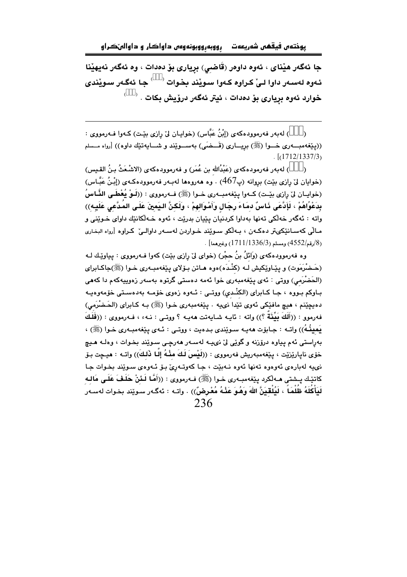رووبهرووبونهوه داواکار و داوالهٽڪراو يوختەں فيقھى شەريعەت

جا ئەگەر ھێناي ، ئەوە داوەر (قَاضى) بريارى بۆ دەدات ، وە ئەگەر نەيھێنا ئـهوه لـهسـهر داوا لـيّ كـراوه كـهوا سـويْند بـضوات <sup>())))</sup> جـا ئهگـهر سـويْندى خوارد ئەوە بريارى بۆ دەدات ، ئيتر ئەگەر در<u>ۆي</u>ش بكات . <sup>()))،</sup>

(ZZZ) لەبەر فەرموودەكەي (إِبْنُ عَبَّاس) (خوايـان لِيْ رازى بِيْـت) كـەوا فـەرمووي : ((پێغهمبوری خسوا (ﷺ) بریساری (قَسِضَی) بهسسوێند و شسایهتێك داوه)) [رواه مسلم  $\lceil (1712/1337/3) \rceil$ 

(ZZZ) له به ر فه رموده كه ي (عَبْدُالله بن عُمَر) و فه رمووده كه ي (الاشْـعَثُ بـنُ القـيس) (خوايان ليٌ رازي بيّت) بروانه (پ467) . وه ههروهها لهبـهر فهرموودهكـهي (إِبْنُ عَبَّـاس) (خوايـان ليّ رازي بيّـت) كــهوا ينفهمبــهري خــوا (ﷺ) فــهرمووي : ((لَــوْ يُعْطَــى الذَّـاسُ بِدَعْوُاهُمْ ، لَإِدَّعَى ذَاسٌ دمَاءَ رِجَالٍ وَأَمْوَالهِمْ ، وَلَكنَّ الـيَمينَ عَلَيى المَدَّعى عَلَيـه)) واته : ئەگەر خەلكى تەنھا بەداوا كردنيان يێيان بدرێت ، ئەوە خـﻪلْكانێك داواي خـوێنى و مـالّی کهسـانێکیټر دهکـهن ، بـهڵکو سـوێند خـواردن لهسـهر داوالـیٚ کـراوه [رواه البخـاری . (8/رقم/4552) ومسلم (1711/1336) وغيرهما] $(1711/1336/3)$ 

وه فهرموودهکهي (وَائلُ بنُ حجْرٍ) (خواي ليّ رازي بيّت) کهوا فـهرمووي : پياوێك لـه (حَـضْرَمَوت) و پێـاوێِکيش لـه (کنْـدَه)هوه هـاتن بـۆلای پێغهمبـهری خـوا (ﷺ)جاکـابرای (الحَضْرَمی) ووتی : ئەی پێغەمبەری خوا ئەمە دەستى گرتوە بەسەر زەوييەكەم دا كەھى بـاوکم بـووه ، جـا کـابرای (الکنْـدی) ووتـی : ئــهوه زهوی خۆمــه بهدهسـتی خۆمهوميـه دهبچٽنم ، هيچ مافٽکي ئهوي تٽدا نويبه ، پٽغهمبهري خبوا (ﷺ) بـه کـابراي (الحَـضْرَمي) فهرموو : ((أَلَكَ بَيِّنَةٌ ؟)) واته : نايـه شـايهتت ههيـه ؟ ووتـى : نـهء ، فـهرمووى : ((فَلَكَ يَمِينُهُ)) واتـه : جـابوّت ههيـه سـوێندي بـدهيت ، ووتـي : ئـهي يێغهمبـهري خـوا (ﷺ) ، بەراستى ئەم يياوە درۆزنە و گوێى لێ نىيـە لەسـەر ھەرچـى سـوێند بخـوات ، وەك ھـيچ خۆي ناپارێزێت ، پێغەمبەريش فەرمووي : ((لَيْسَ لَكَ مِنْـهُ إِلَّـا ذَلكَ)) واتـه : هيـڃت بـۆ .<br>نويبه لهبارهي ئهوهوه تهنها ئهوه نـهيٽت ۽ جـا کهوتـهريّ پِٽي ئـهوهي سيوٽند بخوات جـا كاتيّك يــشتى هـــه لكرد ييّغهمبــهري خــوا (ﷺ) فــهرمووي : ((أَهَّا لَـئَنْ حَلَـفَ عَلَـى مَالـه لَيَأْكُلَهُ ظُلْمَاً ، لَيُلْقَيَنَّ اللهَ وَهُوَ عَنْهُ مُعْرِضٌ)) . واتـه : ئەگـەر سـوێند بخـوات لەسـەر 236